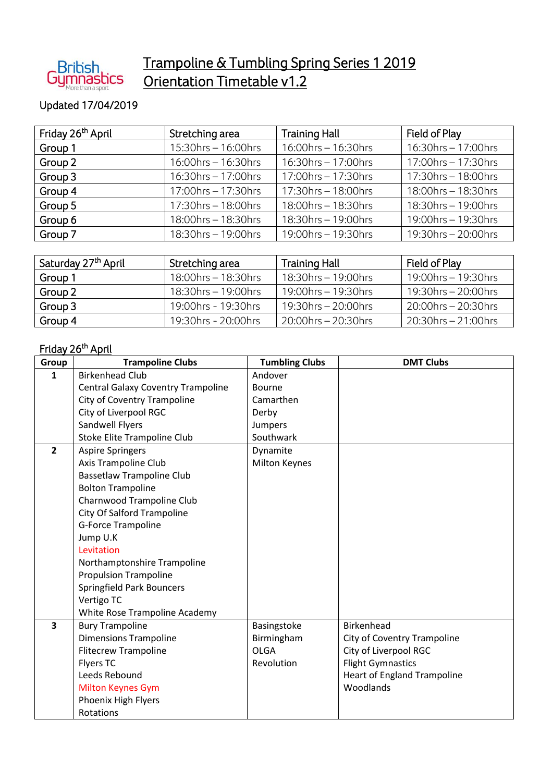

## Trampoline & Tumbling Spring Series 1 2019 Orientation Timetable v1.2

## Updated 17/04/2019

| Friday 26 <sup>th</sup> April | Stretching area        | <b>Training Hall</b>   | Field of Play          |
|-------------------------------|------------------------|------------------------|------------------------|
| Group 1                       | 15:30hrs - 16:00hrs    | 16:00hrs - 16:30hrs    | 16:30hrs - 17:00hrs    |
| Group 2                       | $16:00$ hrs – 16:30hrs | 16:30hrs - 17:00hrs    | $17:00$ hrs – 17:30hrs |
| Group 3                       | $16:30$ hrs - 17:00hrs | $17:00$ hrs – 17:30hrs | $17:30$ hrs – 18:00hrs |
| Group 4                       | $17:00$ hrs – 17:30hrs | $17:30$ hrs – 18:00hrs | 18:00hrs - 18:30hrs    |
| Group 5                       | $17:30$ hrs – 18:00hrs | 18:00hrs - 18:30hrs    | $18:30$ hrs – 19:00hrs |
| Group 6                       | 18:00hrs - 18:30hrs    | 18:30hrs - 19:00hrs    | 19:00hrs - 19:30hrs    |
| Group 7                       | $18:30$ hrs – 19:00hrs | 19:00hrs - 19:30hrs    | $19:30$ hrs – 20:00hrs |

| Saturday 27 <sup>th</sup> April | Stretching area        | <b>Training Hall</b>   | Field of Play          |
|---------------------------------|------------------------|------------------------|------------------------|
| Group 1                         | 18:00hrs - 18:30hrs    | $18:30$ hrs – 19:00hrs | $19:00$ hrs – 19:30hrs |
| Group 2                         | $18:30$ hrs – 19:00hrs | 19:00hrs $-$ 19:30hrs  | 19:30hrs - 20:00hrs    |
| Group 3                         | 19:00hrs - 19:30hrs    | $19:30$ hrs – 20:00hrs | 20:00hrs – 20:30hrs    |
| Group 4                         | 19:30hrs - 20:00hrs    | $20:00$ hrs – 20:30hrs | $20:30$ hrs – 21:00hrs |

## <u>Friday 26<sup>th</sup> April</u>

| Group          | <b>Trampoline Clubs</b>                   | <b>Tumbling Clubs</b> | <b>DMT Clubs</b>                   |
|----------------|-------------------------------------------|-----------------------|------------------------------------|
| 1              | <b>Birkenhead Club</b>                    | Andover               |                                    |
|                | <b>Central Galaxy Coventry Trampoline</b> | Bourne                |                                    |
|                | City of Coventry Trampoline               | Camarthen             |                                    |
|                | City of Liverpool RGC                     | Derby                 |                                    |
|                | Sandwell Flyers                           | <b>Jumpers</b>        |                                    |
|                | Stoke Elite Trampoline Club               | Southwark             |                                    |
| $\overline{2}$ | <b>Aspire Springers</b>                   | Dynamite              |                                    |
|                | Axis Trampoline Club                      | <b>Milton Keynes</b>  |                                    |
|                | <b>Bassetlaw Trampoline Club</b>          |                       |                                    |
|                | <b>Bolton Trampoline</b>                  |                       |                                    |
|                | Charnwood Trampoline Club                 |                       |                                    |
|                | City Of Salford Trampoline                |                       |                                    |
|                | <b>G-Force Trampoline</b>                 |                       |                                    |
|                | Jump U.K                                  |                       |                                    |
|                | Levitation                                |                       |                                    |
|                | Northamptonshire Trampoline               |                       |                                    |
|                | <b>Propulsion Trampoline</b>              |                       |                                    |
|                | <b>Springfield Park Bouncers</b>          |                       |                                    |
|                | Vertigo TC                                |                       |                                    |
|                | White Rose Trampoline Academy             |                       |                                    |
| 3              | <b>Bury Trampoline</b>                    | Basingstoke           | <b>Birkenhead</b>                  |
|                | <b>Dimensions Trampoline</b>              | Birmingham            | City of Coventry Trampoline        |
|                | <b>Flitecrew Trampoline</b>               | <b>OLGA</b>           | City of Liverpool RGC              |
|                | <b>Flyers TC</b>                          | Revolution            | <b>Flight Gymnastics</b>           |
|                | Leeds Rebound                             |                       | <b>Heart of England Trampoline</b> |
|                | <b>Milton Keynes Gym</b>                  |                       | Woodlands                          |
|                | Phoenix High Flyers                       |                       |                                    |
|                | Rotations                                 |                       |                                    |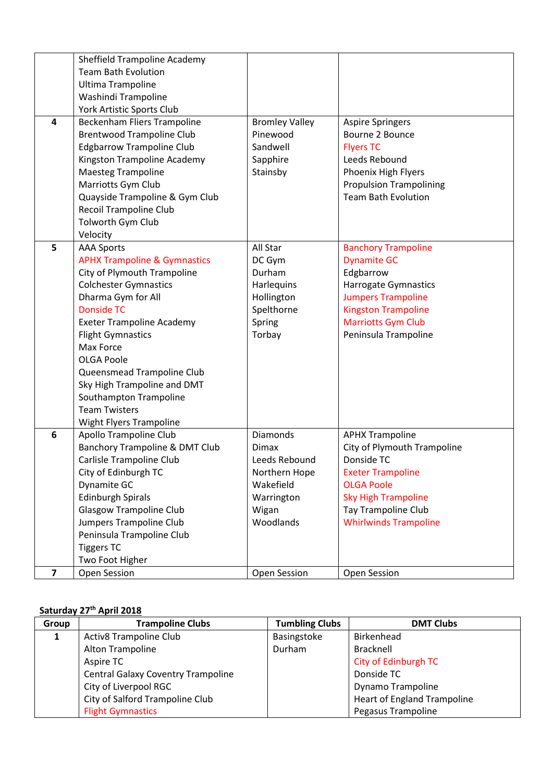|                | Sheffield Trampoline Academy              |                       |                                |
|----------------|-------------------------------------------|-----------------------|--------------------------------|
|                | <b>Team Bath Evolution</b>                |                       |                                |
|                | Ultima Trampoline                         |                       |                                |
|                | Washindi Trampoline                       |                       |                                |
|                | York Artistic Sports Club                 |                       |                                |
| 4              | Beckenham Fliers Trampoline               | <b>Bromley Valley</b> | <b>Aspire Springers</b>        |
|                | <b>Brentwood Trampoline Club</b>          | Pinewood              | Bourne 2 Bounce                |
|                | <b>Edgbarrow Trampoline Club</b>          | Sandwell              | <b>Flyers TC</b>               |
|                | Kingston Trampoline Academy               | Sapphire              | Leeds Rebound                  |
|                | <b>Maesteg Trampoline</b>                 | Stainsby              | Phoenix High Flyers            |
|                | Marriotts Gym Club                        |                       | <b>Propulsion Trampolining</b> |
|                | Quayside Trampoline & Gym Club            |                       | <b>Team Bath Evolution</b>     |
|                | <b>Recoil Trampoline Club</b>             |                       |                                |
|                | Tolworth Gym Club                         |                       |                                |
|                | Velocity                                  |                       |                                |
| 5              | <b>AAA Sports</b>                         | All Star              | <b>Banchory Trampoline</b>     |
|                | <b>APHX Trampoline &amp; Gymnastics</b>   | DC Gym                | <b>Dynamite GC</b>             |
|                | City of Plymouth Trampoline               | Durham                | Edgbarrow                      |
|                | <b>Colchester Gymnastics</b>              | Harlequins            | Harrogate Gymnastics           |
|                | Dharma Gym for All                        | Hollington            | <b>Jumpers Trampoline</b>      |
|                | <b>Donside TC</b>                         | Spelthorne            | <b>Kingston Trampoline</b>     |
|                | <b>Exeter Trampoline Academy</b>          | Spring                | <b>Marriotts Gym Club</b>      |
|                | <b>Flight Gymnastics</b>                  | Torbay                | Peninsula Trampoline           |
|                | Max Force                                 |                       |                                |
|                | <b>OLGA Poole</b>                         |                       |                                |
|                | Queensmead Trampoline Club                |                       |                                |
|                | Sky High Trampoline and DMT               |                       |                                |
|                | Southampton Trampoline                    |                       |                                |
|                | <b>Team Twisters</b>                      |                       |                                |
|                | Wight Flyers Trampoline                   |                       |                                |
| 6              | Apollo Trampoline Club                    | Diamonds              | <b>APHX Trampoline</b>         |
|                | <b>Banchory Trampoline &amp; DMT Club</b> | <b>Dimax</b>          | City of Plymouth Trampoline    |
|                | Carlisle Trampoline Club                  | Leeds Rebound         | Donside TC                     |
|                | City of Edinburgh TC                      | Northern Hope         | <b>Exeter Trampoline</b>       |
|                | Dynamite GC                               | Wakefield             | <b>OLGA Poole</b>              |
|                | <b>Edinburgh Spirals</b>                  | Warrington            | <b>Sky High Trampoline</b>     |
|                | <b>Glasgow Trampoline Club</b>            | Wigan                 | Tay Trampoline Club            |
|                | Jumpers Trampoline Club                   | Woodlands             | <b>Whirlwinds Trampoline</b>   |
|                | Peninsula Trampoline Club                 |                       |                                |
|                | <b>Tiggers TC</b>                         |                       |                                |
|                | Two Foot Higher                           |                       |                                |
| $\overline{7}$ | Open Session                              | Open Session          | Open Session                   |

## **Saturday 27 th April 2018**

| Group | <b>Trampoline Clubs</b>                   | <b>Tumbling Clubs</b> | <b>DMT Clubs</b>                   |
|-------|-------------------------------------------|-----------------------|------------------------------------|
|       | <b>Activ8 Trampoline Club</b>             | Basingstoke           | Birkenhead                         |
|       | Alton Trampoline                          | Durham                | <b>Bracknell</b>                   |
|       | Aspire TC                                 |                       | <b>City of Edinburgh TC</b>        |
|       | <b>Central Galaxy Coventry Trampoline</b> |                       | Donside TC                         |
|       | City of Liverpool RGC                     |                       | Dynamo Trampoline                  |
|       | City of Salford Trampoline Club           |                       | <b>Heart of England Trampoline</b> |
|       | <b>Flight Gymnastics</b>                  |                       | Pegasus Trampoline                 |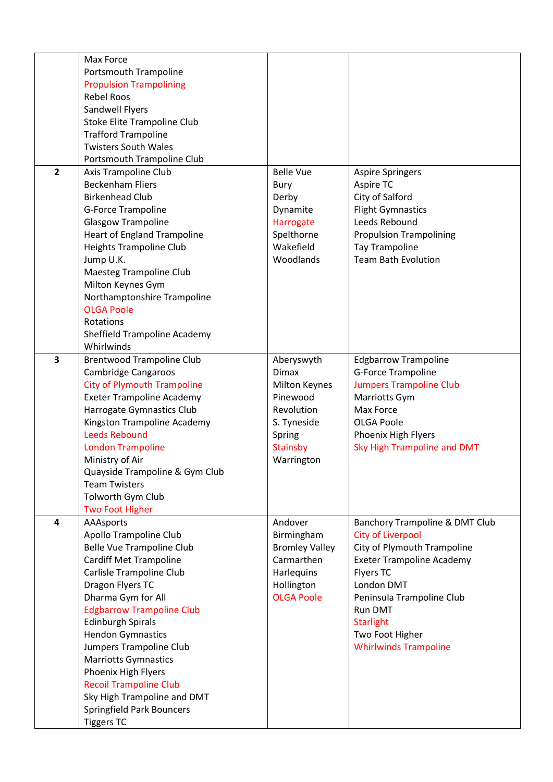|                         | Max Force                          |                       |                                  |
|-------------------------|------------------------------------|-----------------------|----------------------------------|
|                         | <b>Portsmouth Trampoline</b>       |                       |                                  |
|                         | <b>Propulsion Trampolining</b>     |                       |                                  |
|                         | <b>Rebel Roos</b>                  |                       |                                  |
|                         | Sandwell Flyers                    |                       |                                  |
|                         | Stoke Elite Trampoline Club        |                       |                                  |
|                         | <b>Trafford Trampoline</b>         |                       |                                  |
|                         | <b>Twisters South Wales</b>        |                       |                                  |
|                         | Portsmouth Trampoline Club         |                       |                                  |
| $\overline{2}$          | Axis Trampoline Club               | <b>Belle Vue</b>      | <b>Aspire Springers</b>          |
|                         | <b>Beckenham Fliers</b>            | Bury                  | Aspire TC                        |
|                         | <b>Birkenhead Club</b>             | Derby                 | City of Salford                  |
|                         | <b>G-Force Trampoline</b>          | Dynamite              | <b>Flight Gymnastics</b>         |
|                         | <b>Glasgow Trampoline</b>          | Harrogate             | Leeds Rebound                    |
|                         | <b>Heart of England Trampoline</b> | Spelthorne            | <b>Propulsion Trampolining</b>   |
|                         | <b>Heights Trampoline Club</b>     | Wakefield             | <b>Tay Trampoline</b>            |
|                         | Jump U.K.                          | Woodlands             | <b>Team Bath Evolution</b>       |
|                         | Maesteg Trampoline Club            |                       |                                  |
|                         | Milton Keynes Gym                  |                       |                                  |
|                         | Northamptonshire Trampoline        |                       |                                  |
|                         | <b>OLGA Poole</b>                  |                       |                                  |
|                         | Rotations                          |                       |                                  |
|                         | Sheffield Trampoline Academy       |                       |                                  |
|                         | Whirlwinds                         |                       |                                  |
| 3                       | <b>Brentwood Trampoline Club</b>   | Aberyswyth            | <b>Edgbarrow Trampoline</b>      |
|                         | <b>Cambridge Cangaroos</b>         | <b>Dimax</b>          | <b>G-Force Trampoline</b>        |
|                         | <b>City of Plymouth Trampoline</b> | Milton Keynes         | <b>Jumpers Trampoline Club</b>   |
|                         | <b>Exeter Trampoline Academy</b>   | Pinewood              | Marriotts Gym                    |
|                         | Harrogate Gymnastics Club          | Revolution            | Max Force                        |
|                         | Kingston Trampoline Academy        | S. Tyneside           | <b>OLGA Poole</b>                |
|                         | <b>Leeds Rebound</b>               | Spring                | Phoenix High Flyers              |
|                         | <b>London Trampoline</b>           | <b>Stainsby</b>       | Sky High Trampoline and DMT      |
|                         | Ministry of Air                    | Warrington            |                                  |
|                         | Quayside Trampoline & Gym Club     |                       |                                  |
|                         | <b>Team Twisters</b>               |                       |                                  |
|                         | Tolworth Gym Club                  |                       |                                  |
|                         | <b>Two Foot Higher</b>             |                       |                                  |
| $\overline{\mathbf{4}}$ | AAAsports                          | Andover               | Banchory Trampoline & DMT Club   |
|                         | Apollo Trampoline Club             | Birmingham            | City of Liverpool                |
|                         | Belle Vue Trampoline Club          | <b>Bromley Valley</b> | City of Plymouth Trampoline      |
|                         | <b>Cardiff Met Trampoline</b>      | Carmarthen            | <b>Exeter Trampoline Academy</b> |
|                         | Carlisle Trampoline Club           | Harlequins            | <b>Flyers TC</b>                 |
|                         | Dragon Flyers TC                   | Hollington            | London DMT                       |
|                         | Dharma Gym for All                 | <b>OLGA Poole</b>     | Peninsula Trampoline Club        |
|                         | <b>Edgbarrow Trampoline Club</b>   |                       | Run DMT                          |
|                         | <b>Edinburgh Spirals</b>           |                       | <b>Starlight</b>                 |
|                         | <b>Hendon Gymnastics</b>           |                       | Two Foot Higher                  |
|                         | Jumpers Trampoline Club            |                       | <b>Whirlwinds Trampoline</b>     |
|                         | <b>Marriotts Gymnastics</b>        |                       |                                  |
|                         | Phoenix High Flyers                |                       |                                  |
|                         | <b>Recoil Trampoline Club</b>      |                       |                                  |
|                         | Sky High Trampoline and DMT        |                       |                                  |
|                         | <b>Springfield Park Bouncers</b>   |                       |                                  |
|                         | <b>Tiggers TC</b>                  |                       |                                  |
|                         |                                    |                       |                                  |